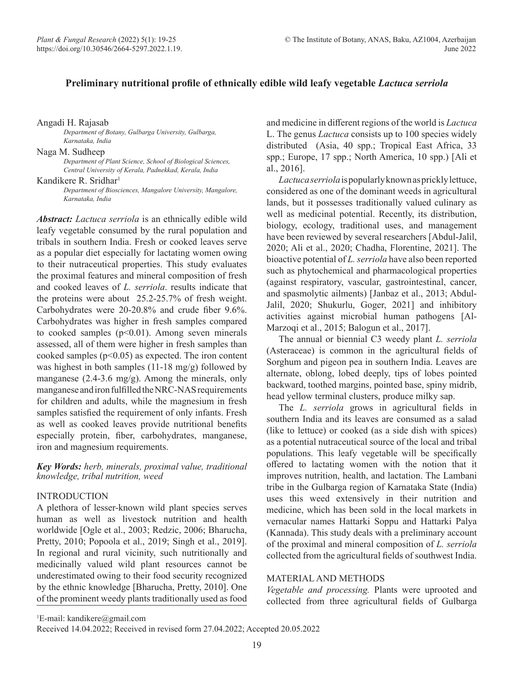# **Preliminary nutritional profile of ethnically edible wild leafy vegetable** *Lactuca serriola*

Angadi H. Rajasab

*Department of Botany, Gulbarga University, Gulbarga, Karnataka, India*

Naga M. Sudheep

*Department of Plant Science, School of Biological Sciences, Central University of Kerala, Padnekkad, Kerala, India*

Kandikere R. Sridhar<sup>1</sup>

*Department of Biosciences, Mangalore University, Mangalore, Karnataka, India*

*Abstract: Lactuca serriola* is an ethnically edible wild leafy vegetable consumed by the rural population and tribals in southern India. Fresh or cooked leaves serve as a popular diet especially for lactating women owing to their nutraceutical properties. This study evaluates the proximal features and mineral composition of fresh and cooked leaves of *L. serriola*. results indicate that the proteins were about 25.2-25.7% of fresh weight. Carbohydrates were 20-20.8% and crude fiber 9.6%. Carbohydrates was higher in fresh samples compared to cooked samples  $(p<0.01)$ . Among seven minerals assessed, all of them were higher in fresh samples than cooked samples  $(p<0.05)$  as expected. The iron content was highest in both samples (11-18 mg/g) followed by manganese (2.4-3.6 mg/g). Among the minerals, only manganese and iron fulfilled the NRC-NAS requirements for children and adults, while the magnesium in fresh samples satisfied the requirement of only infants. Fresh as well as cooked leaves provide nutritional benefits especially protein, fiber, carbohydrates, manganese, iron and magnesium requirements.

*Key Words: herb, minerals, proximal value, traditional knowledge, tribal nutrition, weed* 

### INTRODUCTION

A plethora of lesser-known wild plant species serves human as well as livestock nutrition and health worldwide [Ogle et al., 2003; Redzic, 2006; Bharucha, Pretty, 2010; Popoola et al., 2019; Singh et al., 2019]. In regional and rural vicinity, such nutritionally and medicinally valued wild plant resources cannot be underestimated owing to their food security recognized by the ethnic knowledge [Bharucha, Pretty, 2010]. One of the prominent weedy plants traditionally used as food and medicine in different regions of the world is *Lactuca*  L. The genus *Lactuca* consists up to 100 species widely distributed (Asia, 40 spp.; Tropical East Africa, 33 spp.; Europe, 17 spp.; North America, 10 spp.) [Ali et al., 2016].

*Lactuca serriola* is popularly known as prickly lettuce, considered as one of the dominant weeds in agricultural lands, but it possesses traditionally valued culinary as well as medicinal potential. Recently, its distribution, biology, ecology, traditional uses, and management have been reviewed by several researchers [Abdul-Jalil, 2020; Ali et al., 2020; Chadha, Florentine, 2021]. The bioactive potential of *L. serriola* have also been reported such as phytochemical and pharmacological properties (against respiratory, vascular, gastrointestinal, cancer, and spasmolytic ailments) [Janbaz et al., 2013; Abdul-Jalil, 2020; Shukurlu, Goger, 2021] and inhibitory activities against microbial human pathogens [Al-Marzoqi et al., 2015; Balogun et al., 2017].

The annual or biennial C3 weedy plant *L. serriola*  (Asteraceae) is common in the agricultural fields of Sorghum and pigeon pea in southern India. Leaves are alternate, oblong, lobed deeply, tips of lobes pointed backward, toothed margins, pointed base, spiny midrib, head yellow terminal clusters, produce milky sap.

The *L. serriola* grows in agricultural fields in southern India and its leaves are consumed as a salad (like to lettuce) or cooked (as a side dish with spices) as a potential nutraceutical source of the local and tribal populations. This leafy vegetable will be specifically offered to lactating women with the notion that it improves nutrition, health, and lactation. The Lambani tribe in the Gulbarga region of Karnataka State (India) uses this weed extensively in their nutrition and medicine, which has been sold in the local markets in vernacular names Hattarki Soppu and Hattarki Palya (Kannada). This study deals with a preliminary account of the proximal and mineral composition of *L. serriola*  collected from the agricultural fields of southwest India.

# MATERIAL AND METHODS

*Vegetable and processing.* Plants were uprooted and collected from three agricultural fields of Gulbarga

1 E-mail: kandikere@gmail.com

Received 14.04.2022; Received in revised form 27.04.2022; Accepted 20.05.2022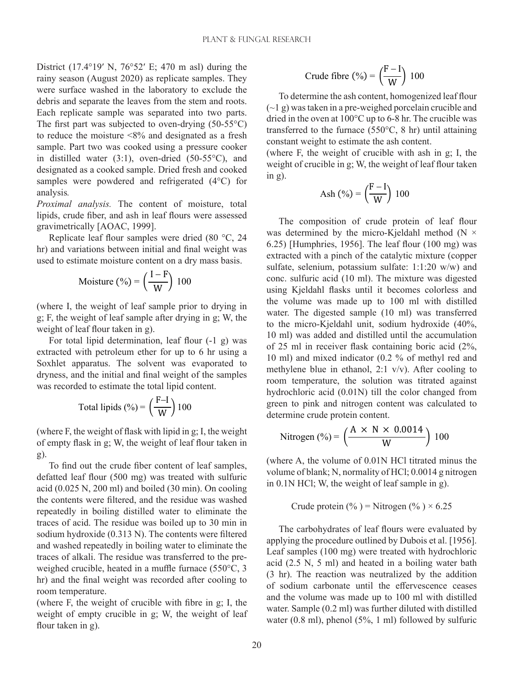District (17.4°19′ N, 76°52′ E; 470 m asl) during the rainy season (August 2020) as replicate samples. They were surface washed in the laboratory to exclude the debris and separate the leaves from the stem and roots. Each replicate sample was separated into two parts. The first part was subjected to oven-drying  $(50-55^{\circ}C)$ to reduce the moisture <8% and designated as a fresh sample. Part two was cooked using a pressure cooker in distilled water (3:1), oven-dried (50-55°C), and designated as a cooked sample. Dried fresh and cooked samples were powdered and refrigerated (4°C) for analysis*.*

*Proximal analysis.* The content of moisture, total lipids, crude fiber, and ash in leaf flours were assessed gravimetrically [AOAC, 1999].

Replicate leaf flour samples were dried (80 °C, 24 hr) and variations between initial and final weight was used to estimate moisture content on a dry mass basis.

Moisture (%) = 
$$
\left(\frac{I - F}{W}\right) 100
$$

(where I, the weight of leaf sample prior to drying in g; F, the weight of leaf sample after drying in g; W, the weight of leaf flour taken in g).

For total lipid determination, leaf flour (-1 g) was extracted with petroleum ether for up to 6 hr using a Soxhlet apparatus. The solvent was evaporated to dryness, and the initial and final weight of the samples was recorded to estimate the total lipid content.

Total lipids (%) = 
$$
\left(\frac{F-I}{W}\right)
$$
100

(where F, the weight of flask with lipid in g; I, the weight of empty flask in g; W, the weight of leaf flour taken in g).

To find out the crude fiber content of leaf samples, defatted leaf flour (500 mg) was treated with sulfuric acid (0.025 N, 200 ml) and boiled (30 min). On cooling the contents were filtered, and the residue was washed repeatedly in boiling distilled water to eliminate the traces of acid. The residue was boiled up to 30 min in sodium hydroxide (0.313 N). The contents were filtered and washed repeatedly in boiling water to eliminate the traces of alkali. The residue was transferred to the preweighed crucible, heated in a muffle furnace (550°C, 3 hr) and the final weight was recorded after cooling to room temperature.

(where F, the weight of crucible with fibre in g; I, the weight of empty crucible in g; W, the weight of leaf flour taken in g).

Crude fibre (%) = 
$$
\left(\frac{F-I}{W}\right)100
$$

To determine the ash content, homogenized leaf flour (~1 g) was taken in a pre-weighed porcelain crucible and dried in the oven at 100°C up to 6-8 hr. The crucible was transferred to the furnace (550°C, 8 hr) until attaining constant weight to estimate the ash content.

(where F, the weight of crucible with ash in g; I, the weight of crucible in g; W, the weight of leaf flour taken in g).

$$
Ash\ (\%) = \left(\frac{F - I}{W}\right) 100
$$

The composition of crude protein of leaf flour was determined by the micro-Kjeldahl method (N  $\times$ 6.25) [Humphries, 1956]. The leaf flour (100 mg) was extracted with a pinch of the catalytic mixture (copper sulfate, selenium, potassium sulfate: 1:1:20 w/w) and conc. sulfuric acid (10 ml). The mixture was digested using Kjeldahl flasks until it becomes colorless and the volume was made up to 100 ml with distilled water. The digested sample (10 ml) was transferred to the micro-Kjeldahl unit, sodium hydroxide (40%, 10 ml) was added and distilled until the accumulation of 25 ml in receiver flask containing boric acid (2%, 10 ml) and mixed indicator (0.2 % of methyl red and methylene blue in ethanol, 2:1 v/v). After cooling to room temperature, the solution was titrated against hydrochloric acid (0.01N) till the color changed from green to pink and nitrogen content was calculated to determine crude protein content.

Nitrogen (%) = 
$$
\left(\frac{A \times N \times 0.0014}{W}\right) 100
$$

(where A, the volume of 0.01N HCl titrated minus the volume of blank; N, normality of HCl; 0.0014 g nitrogen in 0.1N HCl; W, the weight of leaf sample in g).

Crude protein (%) = Nitrogen (%) 
$$
\times
$$
 6.25

The carbohydrates of leaf flours were evaluated by applying the procedure outlined by Dubois et al. [1956]. Leaf samples (100 mg) were treated with hydrochloric acid (2.5 N, 5 ml) and heated in a boiling water bath (3 hr). The reaction was neutralized by the addition of sodium carbonate until the effervescence ceases and the volume was made up to 100 ml with distilled water. Sample (0.2 ml) was further diluted with distilled water (0.8 ml), phenol (5%, 1 ml) followed by sulfuric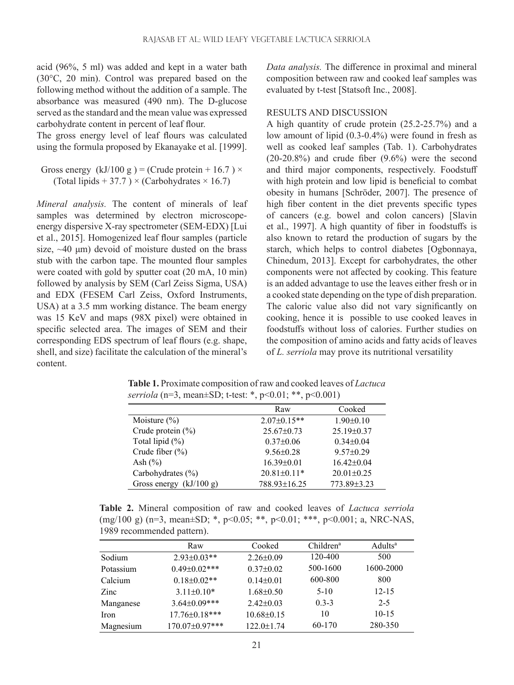acid (96%, 5 ml) was added and kept in a water bath (30°C, 20 min). Control was prepared based on the following method without the addition of a sample. The absorbance was measured (490 nm). The D-glucose served as the standard and the mean value was expressed carbohydrate content in percent of leaf flour.

The gross energy level of leaf flours was calculated using the formula proposed by Ekanayake et al. [1999].

Gross energy  $(kJ/100 g) =$  (Crude protein + 16.7)  $\times$ (Total lipids  $+ 37.7$ )  $\times$  (Carbohydrates  $\times$  16.7)

*Mineral analysis.* The content of minerals of leaf samples was determined by electron microscopeenergy dispersive X-ray spectrometer (SEM-EDX) [Lui et al., 2015]. Homogenized leaf flour samples (particle size,  $\sim$ 40  $\mu$ m) devoid of moisture dusted on the brass stub with the carbon tape. The mounted flour samples were coated with gold by sputter coat (20 mA, 10 min) followed by analysis by SEM (Carl Zeiss Sigma, USA) and EDX (FESEM Carl Zeiss, Oxford Instruments, USA) at a 3.5 mm working distance. The beam energy was 15 KeV and maps (98X pixel) were obtained in specific selected area. The images of SEM and their corresponding EDS spectrum of leaf flours (e.g. shape, shell, and size) facilitate the calculation of the mineral's content.

*Data analysis.* The difference in proximal and mineral composition between raw and cooked leaf samples was evaluated by t-test [Statsoft Inc., 2008].

### RESULTS AND DISCUSSION

A high quantity of crude protein (25.2-25.7%) and a low amount of lipid (0.3-0.4%) were found in fresh as well as cooked leaf samples (Tab. 1). Carbohydrates  $(20-20.8%)$  and crude fiber  $(9.6%)$  were the second and third major components, respectively. Foodstuff with high protein and low lipid is beneficial to combat obesity in humans [Schröder, 2007]. The presence of high fiber content in the diet prevents specific types of cancers (e.g. bowel and colon cancers) [Slavin et al., 1997]. A high quantity of fiber in foodstuffs is also known to retard the production of sugars by the starch, which helps to control diabetes [Ogbonnaya, Chinedum, 2013]. Except for carbohydrates, the other components were not affected by cooking. This feature is an added advantage to use the leaves either fresh or in a cooked state depending on the type of dish preparation. The caloric value also did not vary significantly on cooking, hence it is possible to use cooked leaves in foodstuffs without loss of calories. Further studies on the composition of amino acids and fatty acids of leaves of *L. serriola* may prove its nutritional versatility

|                           | Raw               | Cooked           |  |
|---------------------------|-------------------|------------------|--|
| Moisture $(\%)$           | $2.07 \pm 0.15**$ | $1.90 \pm 0.10$  |  |
| Crude protein $(\% )$     | $25.67 \pm 0.73$  | $25.19 \pm 0.37$ |  |
| Total lipid $(\%)$        | $0.37 \pm 0.06$   | $0.34 \pm 0.04$  |  |
| Crude fiber $(\% )$       | $9.56 \pm 0.28$   | $9.57 \pm 0.29$  |  |
| Ash $(\% )$               | $16.39 \pm 0.01$  | $16.42 \pm 0.04$ |  |
| Carbohydrates $(\% )$     | $20.81 \pm 0.11*$ | $20.01 \pm 0.25$ |  |
| Gross energy $(kJ/100 g)$ | 788.93±16.25      | 773.89±3.23      |  |

**Table 1.** Proximate composition of raw and cooked leaves of *Lactuca serriola* (n=3, mean±SD; t-test: \*, p<0.01; \*\*, p<0.001)

**Table 2.** Mineral composition of raw and cooked leaves of *Lactuca serriola* (mg/100 g) (n=3, mean±SD; \*, p<0.05; \*\*, p<0.01; \*\*\*, p<0.001; a, NRC-NAS, 1989 recommended pattern).

|           | Raw                 | Cooked           | Children <sup>a</sup> | Adults <sup>a</sup> |
|-----------|---------------------|------------------|-----------------------|---------------------|
| Sodium    | $2.93 \pm 0.03**$   | $2.26 \pm 0.09$  | 120-400               | 500                 |
| Potassium | $0.49 \pm 0.02$ *** | $0.37 \pm 0.02$  | 500-1600              | 1600-2000           |
| Calcium   | $0.18 \pm 0.02$ **  | $0.14 \pm 0.01$  | 600-800               | 800                 |
| Zinc      | $3.11 \pm 0.10*$    | $1.68 \pm 0.50$  | $5 - 10$              | $12 - 15$           |
| Manganese | $3.64 \pm 0.09$ *** | $2.42 \pm 0.03$  | $0.3 - 3$             | $2 - 5$             |
| Iron      | 17.76±0.18***       | $10.68 \pm 0.15$ | 10                    | $10-15$             |
| Magnesium | 170.07±0.97***      | $122.0 \pm 1.74$ | 60-170                | 280-350             |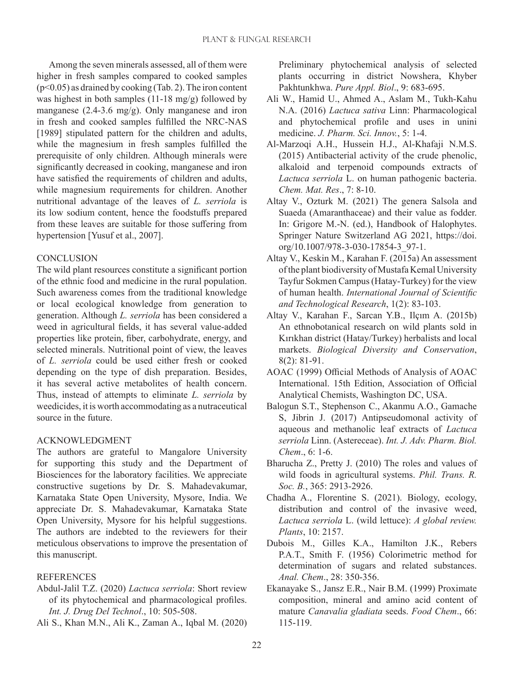Among the seven minerals assessed, all of them were higher in fresh samples compared to cooked samples  $(p<0.05)$  as drained by cooking (Tab. 2). The iron content was highest in both samples (11-18 mg/g) followed by manganese (2.4-3.6 mg/g). Only manganese and iron in fresh and cooked samples fulfilled the NRC-NAS [1989] stipulated pattern for the children and adults, while the magnesium in fresh samples fulfilled the prerequisite of only children. Although minerals were significantly decreased in cooking, manganese and iron have satisfied the requirements of children and adults, while magnesium requirements for children. Another nutritional advantage of the leaves of *L. serriola* is its low sodium content, hence the foodstuffs prepared from these leaves are suitable for those suffering from hypertension [Yusuf et al., 2007].

## **CONCLUSION**

The wild plant resources constitute a significant portion of the ethnic food and medicine in the rural population. Such awareness comes from the traditional knowledge or local ecological knowledge from generation to generation. Although *L. serriola* has been considered a weed in agricultural fields, it has several value-added properties like protein, fiber, carbohydrate, energy, and selected minerals. Nutritional point of view, the leaves of *L. serriola* could be used either fresh or cooked depending on the type of dish preparation. Besides, it has several active metabolites of health concern. Thus, instead of attempts to eliminate *L. serriola* by weedicides, it is worth accommodating as a nutraceutical source in the future.

### ACKNOWLEDGMENT

The authors are grateful to Mangalore University for supporting this study and the Department of Biosciences for the laboratory facilities. We appreciate constructive sugetions by Dr. S. Mahadevakumar, Karnataka State Open University, Mysore, India. We appreciate Dr. S. Mahadevakumar, Karnataka State Open University, Mysore for his helpful suggestions. The authors are indebted to the reviewers for their meticulous observations to improve the presentation of this manuscript.

# **REFERENCES**

- Abdul-Jalil T.Z. (2020) *Lactuca serriola*: Short review of its phytochemical and pharmacological profiles. *Int. J. Drug Del Technol*., 10: 505-508.
- Ali S., Khan M.N., Ali K., Zaman A., Iqbal M. (2020)

Preliminary phytochemical analysis of selected plants occurring in district Nowshera, Khyber Pakhtunkhwa. *Pure Appl. Biol*., 9: 683-695.

- Ali W., Hamid U., Ahmed A., Aslam M., Tukh-Kahu N.A. (2016) *Lactuca sativa* Linn: Pharmacological and phytochemical profile and uses in unini medicine. *J. Pharm. Sci. Innov.*, 5: 1-4.
- Al-Marzoqi A.H., Hussein H.J., Al-Khafaji N.M.S. (2015) Antibacterial activity of the crude phenolic, alkaloid and terpenoid compounds extracts of *Lactuca serriola* L. on human pathogenic bacteria. *Chem. Mat. Res*., 7: 8-10.
- Altay V., Ozturk M. (2021) The genera Salsola and Suaeda (Amaranthaceae) and their value as fodder. In: Grigore M.-N. (ed.), Handbook of Halophytes. Springer Nature Switzerland AG 2021, https://doi. org/10.1007/978-3-030-17854-3\_97-1.
- Altay V., Keskin M., Karahan F. (2015a) An assessment of the plant biodiversity of Mustafa Kemal University Tayfur Sokmen Campus (Hatay-Turkey) for the view of human health. *International Journal of Scientific and Technological Research*, 1(2): 83-103.
- Altay V., Karahan F., Sarcan Y.B., Ilçım A. (2015b) An ethnobotanical research on wild plants sold in Kırıkhan district (Hatay/Turkey) herbalists and local markets. *Biological Diversity and Conservation*, 8(2): 81-91.
- AOAC (1999) Official Methods of Analysis of AOAC International. 15th Edition, Association of Official Analytical Chemists, Washington DC, USA.
- Balogun S.T., Stephenson C., Akanmu A.O., Gamache S, Jibrin J. (2017) Antipseudomonal activity of aqueous and methanolic leaf extracts of *Lactuca serriola* Linn. (Astereceae). *Int. J. Adv. Pharm. Biol. Chem*., 6: 1-6.
- Bharucha Z., Pretty J. (2010) The roles and values of wild foods in agricultural systems. *Phil. Trans. R. Soc. B.*, 365: 2913-2926.
- Chadha A., Florentine S. (2021). Biology, ecology, distribution and control of the invasive weed, *Lactuca serriola* L. (wild lettuce): *A global review. Plants*, 10: 2157.
- Dubois M., Gilles K.A., Hamilton J.K., Rebers P.A.T., Smith F. (1956) Colorimetric method for determination of sugars and related substances. *Anal. Chem*., 28: 350-356.
- Ekanayake S., Jansz E.R., Nair B.M. (1999) Proximate composition, mineral and amino acid content of mature *Canavalia gladiata* seeds. *Food Chem*., 66: 115-119.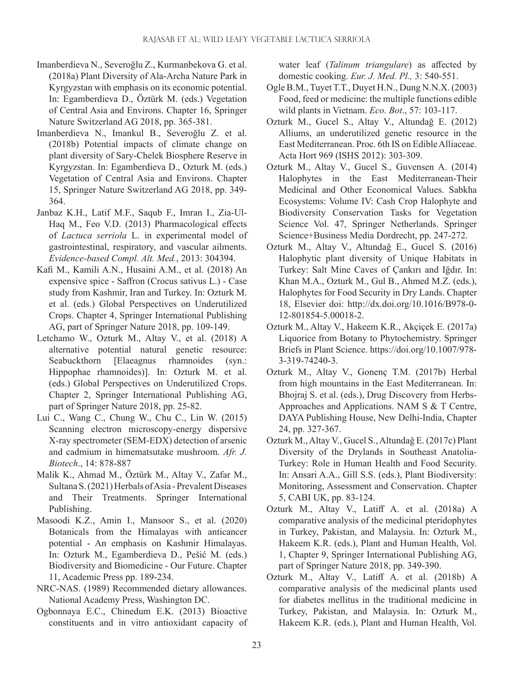- Imanberdieva N., Severoğlu Z., Kurmanbekova G. et al. (2018a) Plant Diversity of Ala-Archa Nature Park in Kyrgyzstan with emphasis on its economic potential. In: Egamberdieva D., Öztürk M. (eds.) Vegetation of Central Asia and Environs. Chapter 16, Springer Nature Switzerland AG 2018, pp. 365-381.
- Imanberdieva N., Imankul B., Severoğlu Z. et al. (2018b) Potential impacts of climate change on plant diversity of Sary-Chelek Biosphere Reserve in Kyrgyzstan. In: Egamberdieva D., Ozturk M. (eds.) Vegetation of Central Asia and Environs. Chapter 15, Springer Nature Switzerland AG 2018, pp. 349- 364.
- Janbaz K.H., Latif M.F., Saqub F., Imran I., Zia-Ul-Haq M., Feo V.D. (2013) Pharmacological effects of *Lactuca serriola* L. in experimental model of gastrointestinal, respiratory, and vascular ailments. *Evidence-based Compl. Alt. Med.*, 2013: 304394.
- Kafi M., Kamili A.N., Husaini A.M., et al. (2018) An expensive spice - Saffron (Crocus sativus L.) - Case study from Kashmir, Iran and Turkey. In: Ozturk M. et al. (eds.) Global Perspectives on Underutilized Crops. Chapter 4, Springer International Publishing AG, part of Springer Nature 2018, pp. 109-149.
- Letchamo W., Ozturk M., Altay V., et al. (2018) A alternative potential natural genetic resource: Seabuckthorn [Elaeagnus rhamnoides (syn.: Hippophae rhamnoides)]. In: Ozturk M. et al. (eds.) Global Perspectives on Underutilized Crops. Chapter 2, Springer International Publishing AG, part of Springer Nature 2018, pp. 25-82.
- Lui C., Wang C., Chung W., Chu C., Lin W. (2015) Scanning electron microscopy-energy dispersive X-ray spectrometer (SEM-EDX) detection of arsenic and cadmium in himematsutake mushroom. *Afr. J. Biotech*., 14: 878-887
- Malik K., Ahmad M., Öztürk M., Altay V., Zafar M., Sultana S. (2021) Herbals of Asia - Prevalent Diseases and Their Treatments. Springer International Publishing.
- Masoodi K.Z., Amin I., Mansoor S., et al. (2020) Botanicals from the Himalayas with anticancer potential - An emphasis on Kashmir Himalayas. In: Ozturk M., Egamberdieva D., Pešić M. (eds.) Biodiversity and Biomedicine - Our Future. Chapter 11, Academic Press pp. 189-234.
- NRC-NAS. (1989) Recommended dietary allowances. National Academy Press, Washington DC.
- Ogbonnaya E.C., Chinedum E.K. (2013) Bioactive constituents and in vitro antioxidant capacity of

water leaf (*Talinum triangulare*) as affected by domestic cooking. *Eur. J. Med. Pl.,* 3: 540-551.

- Ogle B.M., Tuyet T.T., Duyet H.N., Dung N.N.X. (2003) Food, feed or medicine: the multiple functions edible wild plants in Vietnam. *Eco. Bot*., 57: 103-117.
- Ozturk M., Gucel S., Altay V., Altundağ E. (2012) Alliums, an underutilized genetic resource in the East Mediterranean. Proc. 6th IS on Edible Alliaceae. Acta Hort 969 (ISHS 2012): 303-309.
- Ozturk M., Altay V., Gucel S., Guvensen A. (2014) Halophytes in the East Mediterranean-Their Medicinal and Other Economical Values. Sabkha Ecosystems: Volume IV: Cash Crop Halophyte and Biodiversity Conservation Tasks for Vegetation Science Vol. 47, Springer Netherlands. Springer Science+Business Media Dordrecht, pp. 247-272.
- Ozturk M., Altay V., Altundağ E., Gucel S. (2016) Halophytic plant diversity of Unique Habitats in Turkey: Salt Mine Caves of Çankırı and Iğdır. In: Khan M.A., Ozturk M., Gul B., Ahmed M.Z. (eds.), Halophytes for Food Security in Dry Lands. Chapter 18, Elsevier doi: http://dx.doi.org/10.1016/B978-0- 12-801854-5.00018-2.
- Ozturk M., Altay V., Hakeem K.R., Akçiçek E. (2017a) Liquorice from Botany to Phytochemistry. Springer Briefs in Plant Science. https://doi.org/10.1007/978- 3-319-74240-3.
- Ozturk M., Altay V., Gonenç T.M. (2017b) Herbal from high mountains in the East Mediterranean. In: Bhojraj S. et al. (eds.), Drug Discovery from Herbs-Approaches and Applications. NAM S & T Centre, DAYA Publishing House, New Delhi-India, Chapter 24, pp. 327-367.
- Ozturk M., Altay V., Gucel S., Altundağ E. (2017c) Plant Diversity of the Drylands in Southeast Anatolia-Turkey: Role in Human Health and Food Security. In: Ansari A.A., Gill S.S. (eds.), Plant Biodiversity: Monitoring, Assessment and Conservation. Chapter 5, CABI UK, pp. 83-124.
- Ozturk M., Altay V., Latiff A. et al. (2018a) A comparative analysis of the medicinal pteridophytes in Turkey, Pakistan, and Malaysia. In: Ozturk M., Hakeem K.R. (eds.), Plant and Human Health, Vol. 1, Chapter 9, Springer International Publishing AG, part of Springer Nature 2018, pp. 349-390.
- Ozturk M., Altay V., Latiff A. et al. (2018b) A comparative analysis of the medicinal plants used for diabetes mellitus in the traditional medicine in Turkey, Pakistan, and Malaysia. In: Ozturk M., Hakeem K.R. (eds.), Plant and Human Health, Vol.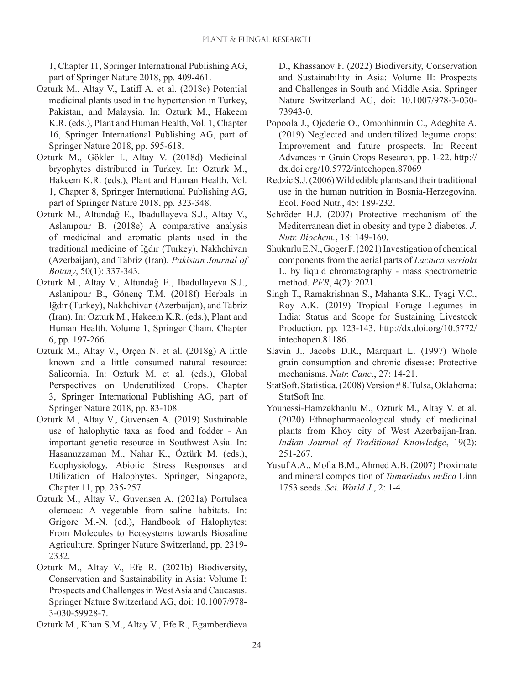1, Chapter 11, Springer International Publishing AG, part of Springer Nature 2018, pp. 409-461.

- Ozturk M., Altay V., Latiff A. et al. (2018c) Potential medicinal plants used in the hypertension in Turkey, Pakistan, and Malaysia. In: Ozturk M., Hakeem K.R. (eds.), Plant and Human Health, Vol. 1, Chapter 16, Springer International Publishing AG, part of Springer Nature 2018, pp. 595-618.
- Ozturk M., Gökler I., Altay V. (2018d) Medicinal bryophytes distributed in Turkey. In: Ozturk M., Hakeem K.R. (eds.), Plant and Human Health. Vol. 1, Chapter 8, Springer International Publishing AG, part of Springer Nature 2018, pp. 323-348.
- Ozturk M., Altundağ E., Ibadullayeva S.J., Altay V., Aslanıpour B. (2018e) A comparative analysis of medicinal and aromatic plants used in the traditional medicine of Iğdır (Turkey), Nakhchivan (Azerbaijan), and Tabriz (Iran). *Pakistan Journal of Botany*, 50(1): 337-343.
- Ozturk M., Altay V., Altundağ E., Ibadullayeva S.J., Aslanipour B., Gönenç T.M. (2018f) Herbals in Iğdır (Turkey), Nakhchivan (Azerbaijan), and Tabriz (Iran). In: Ozturk M., Hakeem K.R. (eds.), Plant and Human Health. Volume 1, Springer Cham. Chapter 6, pp. 197-266.
- Ozturk M., Altay V., Orçen N. et al. (2018g) A little known and a little consumed natural resource: Salicornia. In: Ozturk M. et al. (eds.), Global Perspectives on Underutilized Crops. Chapter 3, Springer International Publishing AG, part of Springer Nature 2018, pp. 83-108.
- Ozturk M., Altay V., Guvensen A. (2019) Sustainable use of halophytic taxa as food and fodder - An important genetic resource in Southwest Asia. In: Hasanuzzaman M., Nahar K., Öztürk M. (eds.), Ecophysiology, Abiotic Stress Responses and Utilization of Halophytes. Springer, Singapore, Chapter 11, pp. 235-257.
- Ozturk M., Altay V., Guvensen A. (2021a) Portulaca oleracea: A vegetable from saline habitats. In: Grigore M.-N. (ed.), Handbook of Halophytes: From Molecules to Ecosystems towards Biosaline Agriculture. Springer Nature Switzerland, pp. 2319- 2332.
- Ozturk M., Altay V., Efe R. (2021b) Biodiversity, Conservation and Sustainability in Asia: Volume I: Prospects and Challenges in West Asia and Caucasus. Springer Nature Switzerland AG, doi: 10.1007/978- 3-030-59928-7.
- Ozturk M., Khan S.M., Altay V., Efe R., Egamberdieva

D., Khassanov F. (2022) Biodiversity, Conservation and Sustainability in Asia: Volume II: Prospects and Challenges in South and Middle Asia. Springer Nature Switzerland AG, doi: 10.1007/978-3-030- 73943-0.

- Popoola J., Ojederie O., Omonhinmin C., Adegbite A. (2019) Neglected and underutilized legume crops: Improvement and future prospects. In: Recent Advances in Grain Crops Research, pp. 1-22. http:// dx.doi.org/10.5772/intechopen.87069
- Redzic S.J. (2006) Wild edible plants and their traditional use in the human nutrition in Bosnia‐Herzegovina. Ecol. Food Nutr., 45: 189-232.
- Schröder H.J. (2007) Protective mechanism of the Mediterranean diet in obesity and type 2 diabetes. *J. Nutr. Biochem.*, 18: 149-160.
- Shukurlu E.N., Goger F. (2021) Investigation of chemical components from the aerial parts of *Lactuca serriola*  L. by liquid chromatography - mass spectrometric method. *PFR*, 4(2): 2021.
- Singh T., Ramakrishnan S., Mahanta S.K., Tyagi V.C., Roy A.K. (2019) Tropical Forage Legumes in India: Status and Scope for Sustaining Livestock Production, pp. 123-143. http://dx.doi.org/10.5772/ intechopen.81186.
- Slavin J., Jacobs D.R., Marquart L. (1997) Whole grain consumption and chronic disease: Protective mechanisms. *Nutr. Canc*., 27: 14-21.
- StatSoft. Statistica. (2008) Version # 8. Tulsa, Oklahoma: StatSoft Inc.
- Younessi-Hamzekhanlu M., Ozturk M., Altay V. et al. (2020) Ethnopharmacological study of medicinal plants from Khoy city of West Azerbaijan-Iran. *Indian Journal of Traditional Knowledge*, 19(2): 251-267.
- Yusuf A.A., Mofia B.M., Ahmed A.B. (2007) Proximate and mineral composition of *Tamarindus indica* Linn 1753 seeds. *Sci. World J*., 2: 1-4.